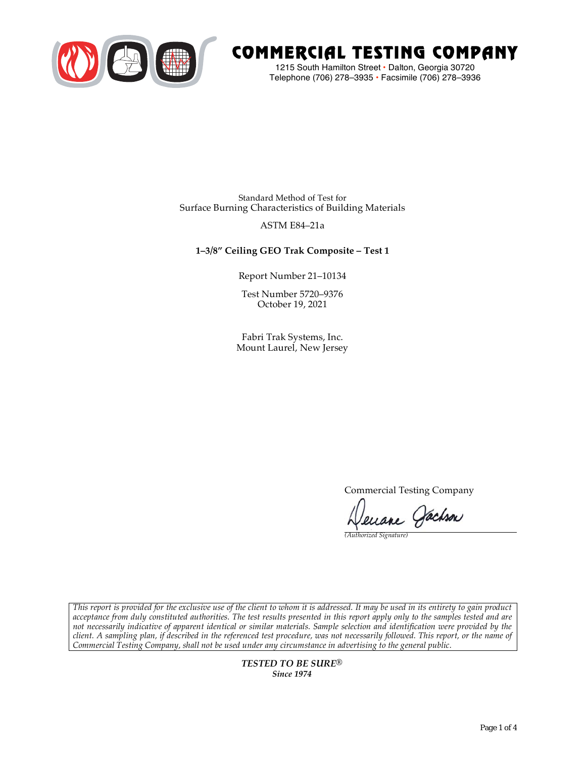

# COMMERCIAL TESTING COMPANY

1215 South Hamilton Street • Dalton, Georgia 30720 Telephone (706) 278–3935 **•** Facsimile (706) 278–3936

Standard Method of Test for Surface Burning Characteristics of Building Materials

## ASTM E84–21a

## **1–3/8" Ceiling GEO Trak Composite – Test 1**

Report Number 21–10134

Test Number 5720–9376 October 19, 2021

Fabri Trak Systems, Inc. Mount Laurel, New Jersey

Commercial Testing Company

Jenane Jachson

*(Authorized Signature)* 

*This report is provided for the exclusive use of the client to whom it is addressed. It may be used in its entirety to gain product acceptance from duly constituted authorities. The test results presented in this report apply only to the samples tested and are not necessarily indicative of apparent identical or similar materials. Sample selection and identification were provided by the client. A sampling plan, if described in the referenced test procedure, was not necessarily followed. This report, or the name of Commercial Testing Company, shall not be used under any circumstance in advertising to the general public.* 

> *TESTED TO BE SURE® Since 1974*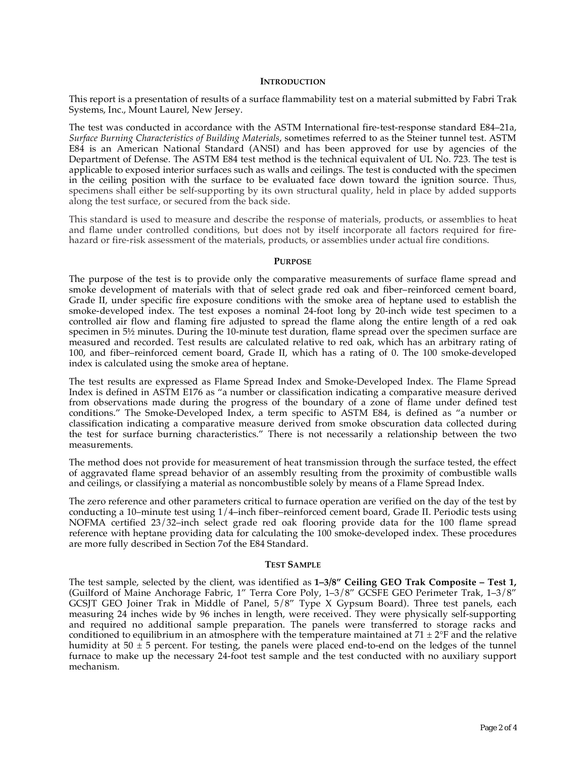#### **INTRODUCTION**

This report is a presentation of results of a surface flammability test on a material submitted by Fabri Trak Systems, Inc., Mount Laurel, New Jersey.

The test was conducted in accordance with the ASTM International fire-test-response standard E84–21a, *Surface Burning Characteristics of Building Materials*, sometimes referred to as the Steiner tunnel test. ASTM E84 is an American National Standard (ANSI) and has been approved for use by agencies of the Department of Defense. The ASTM E84 test method is the technical equivalent of UL No. 723. The test is applicable to exposed interior surfaces such as walls and ceilings. The test is conducted with the specimen in the ceiling position with the surface to be evaluated face down toward the ignition source. Thus, specimens shall either be self-supporting by its own structural quality, held in place by added supports along the test surface, or secured from the back side.

This standard is used to measure and describe the response of materials, products, or assemblies to heat and flame under controlled conditions, but does not by itself incorporate all factors required for firehazard or fire-risk assessment of the materials, products, or assemblies under actual fire conditions.

#### **PURPOSE**

The purpose of the test is to provide only the comparative measurements of surface flame spread and smoke development of materials with that of select grade red oak and fiber–reinforced cement board, Grade II, under specific fire exposure conditions with the smoke area of heptane used to establish the smoke-developed index. The test exposes a nominal 24-foot long by 20-inch wide test specimen to a controlled air flow and flaming fire adjusted to spread the flame along the entire length of a red oak specimen in  $5\frac{1}{2}$  minutes. During the 10-minute test duration, flame spread over the specimen surface are measured and recorded. Test results are calculated relative to red oak, which has an arbitrary rating of 100, and fiber–reinforced cement board, Grade II, which has a rating of 0. The 100 smoke-developed index is calculated using the smoke area of heptane.

The test results are expressed as Flame Spread Index and Smoke-Developed Index. The Flame Spread Index is defined in ASTM E176 as "a number or classification indicating a comparative measure derived from observations made during the progress of the boundary of a zone of flame under defined test conditions." The Smoke-Developed Index, a term specific to ASTM E84, is defined as "a number or classification indicating a comparative measure derived from smoke obscuration data collected during the test for surface burning characteristics." There is not necessarily a relationship between the two measurements.

The method does not provide for measurement of heat transmission through the surface tested, the effect of aggravated flame spread behavior of an assembly resulting from the proximity of combustible walls and ceilings, or classifying a material as noncombustible solely by means of a Flame Spread Index.

The zero reference and other parameters critical to furnace operation are verified on the day of the test by conducting a 10–minute test using 1/4–inch fiber–reinforced cement board, Grade II. Periodic tests using NOFMA certified 23/32–inch select grade red oak flooring provide data for the 100 flame spread reference with heptane providing data for calculating the 100 smoke-developed index. These procedures are more fully described in Section 7of the E84 Standard.

#### **TEST SAMPLE**

The test sample, selected by the client, was identified as **1–3/8" Ceiling GEO Trak Composite – Test 1,**  (Guilford of Maine Anchorage Fabric, 1" Terra Core Poly, 1–3/8" GCSFE GEO Perimeter Trak, 1–3/8" GCSJT GEO Joiner Trak in Middle of Panel, 5/8" Type X Gypsum Board). Three test panels, each measuring 24 inches wide by 96 inches in length, were received. They were physically self-supporting and required no additional sample preparation. The panels were transferred to storage racks and conditioned to equilibrium in an atmosphere with the temperature maintained at  $71 \pm 2$ °F and the relative humidity at  $50 \pm 5$  percent. For testing, the panels were placed end-to-end on the ledges of the tunnel furnace to make up the necessary 24-foot test sample and the test conducted with no auxiliary support mechanism.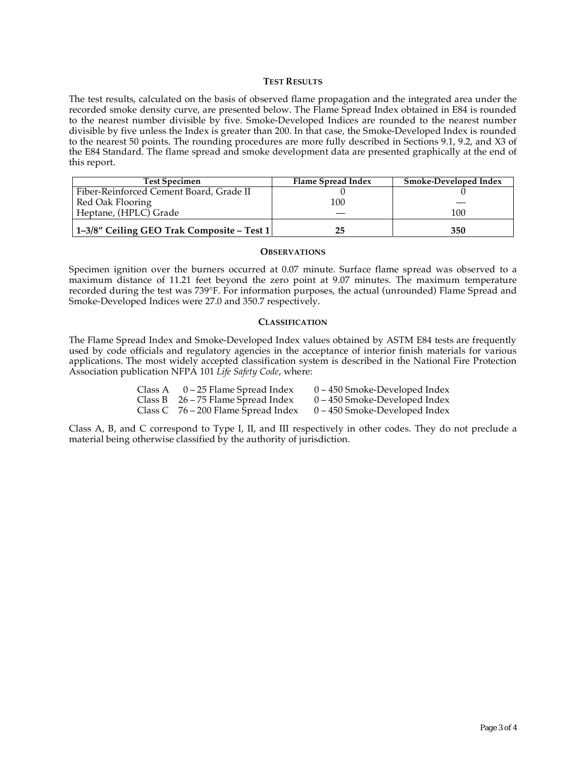### **TEST RESULTS**

The test results, calculated on the basis of observed flame propagation and the integrated area under the recorded smoke density curve, are presented below. The Flame Spread Index obtained in E84 is rounded to the nearest number divisible by five. Smoke-Developed Indices are rounded to the nearest number divisible by five unless the Index is greater than 200. In that case, the Smoke-Developed Index is rounded to the nearest 50 points. The rounding procedures are more fully described in Sections 9.1, 9.2, and X3 of the E84 Standard. The flame spread and smoke development data are presented graphically at the end of this report.

| <b>Test Specimen</b>                       | Flame Spread Index | Smoke-Developed Index |
|--------------------------------------------|--------------------|-----------------------|
| Fiber-Reinforced Cement Board, Grade II    |                    |                       |
| Red Oak Flooring                           | 100                |                       |
| Heptane, (HPLC) Grade                      |                    | 100                   |
| 1–3/8″ Ceiling GEO Trak Composite – Test 1 | 25                 | 350                   |

#### **OBSERVATIONS**

Specimen ignition over the burners occurred at 0.07 minute. Surface flame spread was observed to a maximum distance of 11.21 feet beyond the zero point at 9.07 minutes. The maximum temperature recorded during the test was 739°F. For information purposes, the actual (unrounded) Flame Spread and Smoke-Developed Indices were 27.0 and 350.7 respectively.

#### **CLASSIFICATION**

The Flame Spread Index and Smoke-Developed Index values obtained by ASTM E84 tests are frequently used by code officials and regulatory agencies in the acceptance of interior finish materials for various applications. The most widely accepted classification system is described in the National Fire Protection Association publication NFPA 101 *Life Safety Code*, where:

| Class A $0-25$ Flame Spread Index     | 0 – 450 Smoke-Developed Index   |
|---------------------------------------|---------------------------------|
| Class B $26 - 75$ Flame Spread Index  | $0 - 450$ Smoke-Developed Index |
| Class C $76 - 200$ Flame Spread Index | $0 - 450$ Smoke-Developed Index |

Class A, B, and C correspond to Type I, II, and III respectively in other codes. They do not preclude a material being otherwise classified by the authority of jurisdiction.